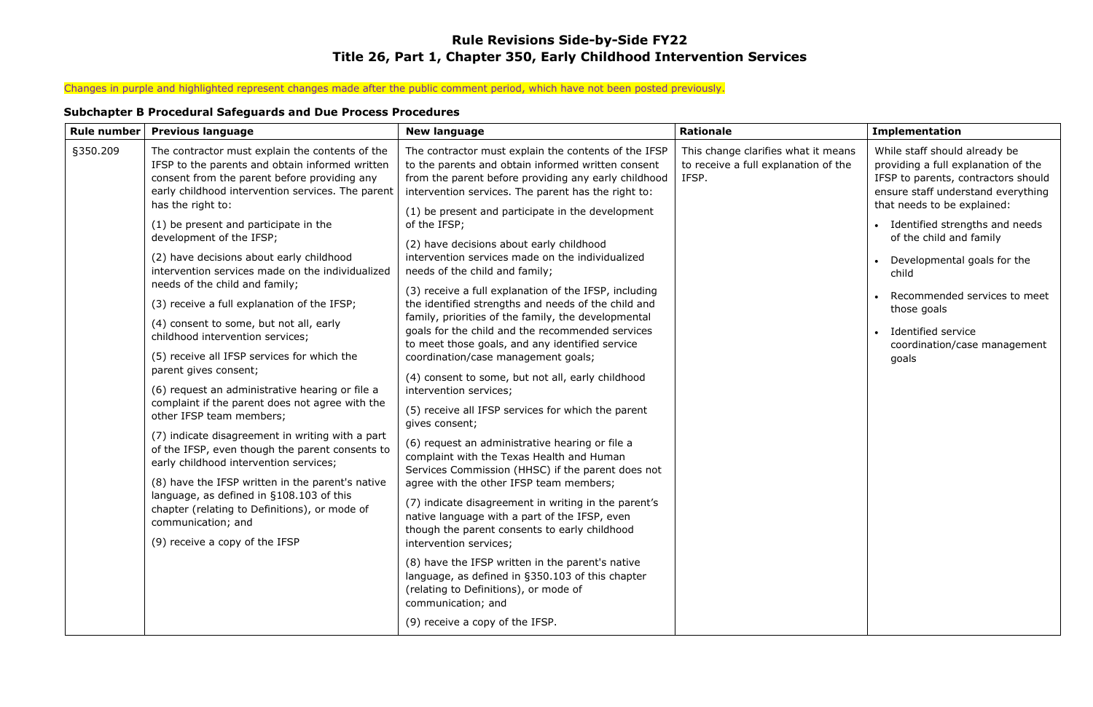## **Rule Revisions Side-by-Side FY22 Title 26, Part 1, Chapter 350, Early Childhood Intervention Services**

# Changes in purple and highlighted represent changes made after the public comment period, which have not been posted previously.

## **Subchapter B Procedural Safeguards and Due Process Procedures**

| <b>Rule number</b> | <b>Previous language</b>                                                                                                                                                                                                                                                        | <b>New language</b>                                                                                                                                                                                                       | <b>Rationale</b>                                                                     | <b>Implementation</b>                                                                                                                                                            |
|--------------------|---------------------------------------------------------------------------------------------------------------------------------------------------------------------------------------------------------------------------------------------------------------------------------|---------------------------------------------------------------------------------------------------------------------------------------------------------------------------------------------------------------------------|--------------------------------------------------------------------------------------|----------------------------------------------------------------------------------------------------------------------------------------------------------------------------------|
| §350.209           | The contractor must explain the contents of the<br>IFSP to the parents and obtain informed written<br>consent from the parent before providing any<br>early childhood intervention services. The parent<br>has the right to:                                                    | The contractor must explain the contents of the IFSP<br>to the parents and obtain informed written consent<br>from the parent before providing any early childhood<br>intervention services. The parent has the right to: | This change clarifies what it means<br>to receive a full explanation of the<br>IFSP. | While staff should already be<br>providing a full explanation of the<br>IFSP to parents, contractors should<br>ensure staff understand everything<br>that needs to be explained: |
|                    | (1) be present and participate in the                                                                                                                                                                                                                                           | (1) be present and participate in the development<br>of the IFSP;                                                                                                                                                         |                                                                                      | Identified strengths and needs                                                                                                                                                   |
|                    | development of the IFSP;<br>(2) have decisions about early childhood<br>intervention services made on the individualized                                                                                                                                                        | (2) have decisions about early childhood<br>intervention services made on the individualized<br>needs of the child and family;                                                                                            |                                                                                      | of the child and family<br>Developmental goals for the<br>child                                                                                                                  |
|                    | needs of the child and family;<br>(3) receive a full explanation of the IFSP;                                                                                                                                                                                                   | (3) receive a full explanation of the IFSP, including<br>the identified strengths and needs of the child and                                                                                                              |                                                                                      | Recommended services to meet<br>those goals                                                                                                                                      |
|                    | (4) consent to some, but not all, early<br>childhood intervention services;                                                                                                                                                                                                     | family, priorities of the family, the developmental<br>goals for the child and the recommended services<br>to meet those goals, and any identified service                                                                |                                                                                      | Identified service<br>coordination/case management                                                                                                                               |
|                    | (5) receive all IFSP services for which the<br>parent gives consent;                                                                                                                                                                                                            | coordination/case management goals;                                                                                                                                                                                       |                                                                                      | goals                                                                                                                                                                            |
|                    | (6) request an administrative hearing or file a<br>complaint if the parent does not agree with the<br>other IFSP team members;<br>(7) indicate disagreement in writing with a part<br>of the IFSP, even though the parent consents to<br>early childhood intervention services; | (4) consent to some, but not all, early childhood<br>intervention services;                                                                                                                                               |                                                                                      |                                                                                                                                                                                  |
|                    |                                                                                                                                                                                                                                                                                 | (5) receive all IFSP services for which the parent<br>gives consent;                                                                                                                                                      |                                                                                      |                                                                                                                                                                                  |
|                    |                                                                                                                                                                                                                                                                                 | (6) request an administrative hearing or file a<br>complaint with the Texas Health and Human<br>Services Commission (HHSC) if the parent does not                                                                         |                                                                                      |                                                                                                                                                                                  |
|                    | (8) have the IFSP written in the parent's native<br>language, as defined in §108.103 of this<br>chapter (relating to Definitions), or mode of<br>communication; and                                                                                                             | agree with the other IFSP team members;                                                                                                                                                                                   |                                                                                      |                                                                                                                                                                                  |
|                    |                                                                                                                                                                                                                                                                                 | (7) indicate disagreement in writing in the parent's<br>native language with a part of the IFSP, even<br>though the parent consents to early childhood                                                                    |                                                                                      |                                                                                                                                                                                  |
|                    | (9) receive a copy of the IFSP                                                                                                                                                                                                                                                  | intervention services;                                                                                                                                                                                                    |                                                                                      |                                                                                                                                                                                  |
|                    |                                                                                                                                                                                                                                                                                 | (8) have the IFSP written in the parent's native<br>language, as defined in §350.103 of this chapter<br>(relating to Definitions), or mode of<br>communication; and                                                       |                                                                                      |                                                                                                                                                                                  |
|                    |                                                                                                                                                                                                                                                                                 | (9) receive a copy of the IFSP.                                                                                                                                                                                           |                                                                                      |                                                                                                                                                                                  |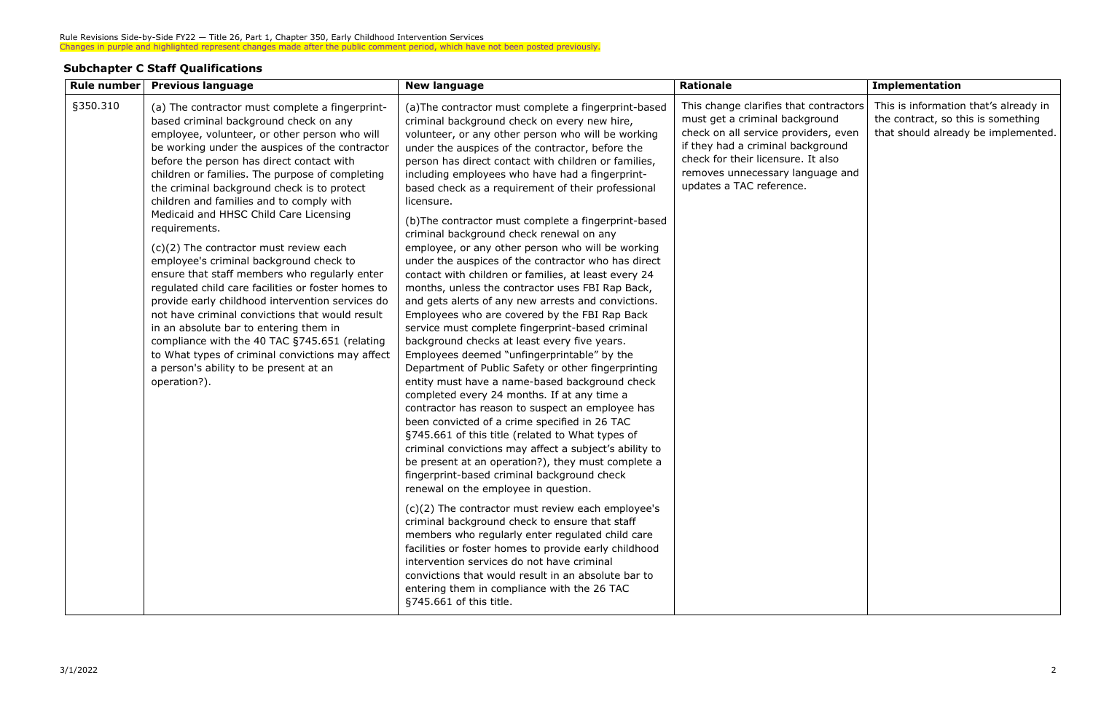#### **Subchapter C Staff Qualifications**

| <b>Rule number</b> | <b>Previous language</b>                                                                                                                                                                                                                                                                                                                                                                                                                                                                                                                                                                                                                                                                                                                                                                                                                                                                                                                                        | <b>New language</b>                                                                                                                                                                                                                                                                                                                                                                                                                                                                                                                                                                                                                                                                                                                                                                                                                                                                                                                                                                                                                                                                                                                                                                                                                                                                                                                                                                                                                                                                                                                                                                                                                                                                                                                                                                                                                                                                                             | <b>Rationale</b>                                                                                                                                                                                                                                            | <b>Implementation</b>                                                                                              |
|--------------------|-----------------------------------------------------------------------------------------------------------------------------------------------------------------------------------------------------------------------------------------------------------------------------------------------------------------------------------------------------------------------------------------------------------------------------------------------------------------------------------------------------------------------------------------------------------------------------------------------------------------------------------------------------------------------------------------------------------------------------------------------------------------------------------------------------------------------------------------------------------------------------------------------------------------------------------------------------------------|-----------------------------------------------------------------------------------------------------------------------------------------------------------------------------------------------------------------------------------------------------------------------------------------------------------------------------------------------------------------------------------------------------------------------------------------------------------------------------------------------------------------------------------------------------------------------------------------------------------------------------------------------------------------------------------------------------------------------------------------------------------------------------------------------------------------------------------------------------------------------------------------------------------------------------------------------------------------------------------------------------------------------------------------------------------------------------------------------------------------------------------------------------------------------------------------------------------------------------------------------------------------------------------------------------------------------------------------------------------------------------------------------------------------------------------------------------------------------------------------------------------------------------------------------------------------------------------------------------------------------------------------------------------------------------------------------------------------------------------------------------------------------------------------------------------------------------------------------------------------------------------------------------------------|-------------------------------------------------------------------------------------------------------------------------------------------------------------------------------------------------------------------------------------------------------------|--------------------------------------------------------------------------------------------------------------------|
| §350.310           | (a) The contractor must complete a fingerprint-<br>based criminal background check on any<br>employee, volunteer, or other person who will<br>be working under the auspices of the contractor<br>before the person has direct contact with<br>children or families. The purpose of completing<br>the criminal background check is to protect<br>children and families and to comply with<br>Medicaid and HHSC Child Care Licensing<br>requirements.<br>(c)(2) The contractor must review each<br>employee's criminal background check to<br>ensure that staff members who regularly enter<br>regulated child care facilities or foster homes to<br>provide early childhood intervention services do<br>not have criminal convictions that would result<br>in an absolute bar to entering them in<br>compliance with the 40 TAC §745.651 (relating<br>to What types of criminal convictions may affect<br>a person's ability to be present at an<br>operation?). | (a) The contractor must complete a fingerprint-based<br>criminal background check on every new hire,<br>volunteer, or any other person who will be working<br>under the auspices of the contractor, before the<br>person has direct contact with children or families,<br>including employees who have had a fingerprint-<br>based check as a requirement of their professional<br>licensure.<br>(b) The contractor must complete a fingerprint-based<br>criminal background check renewal on any<br>employee, or any other person who will be working<br>under the auspices of the contractor who has direct<br>contact with children or families, at least every 24<br>months, unless the contractor uses FBI Rap Back,<br>and gets alerts of any new arrests and convictions.<br>Employees who are covered by the FBI Rap Back<br>service must complete fingerprint-based criminal<br>background checks at least every five years.<br>Employees deemed "unfingerprintable" by the<br>Department of Public Safety or other fingerprinting<br>entity must have a name-based background check<br>completed every 24 months. If at any time a<br>contractor has reason to suspect an employee has<br>been convicted of a crime specified in 26 TAC<br>§745.661 of this title (related to What types of<br>criminal convictions may affect a subject's ability to<br>be present at an operation?), they must complete a<br>fingerprint-based criminal background check<br>renewal on the employee in question.<br>(c)(2) The contractor must review each employee's<br>criminal background check to ensure that staff<br>members who regularly enter regulated child care<br>facilities or foster homes to provide early childhood<br>intervention services do not have criminal<br>convictions that would result in an absolute bar to<br>entering them in compliance with the 26 TAC<br>§745.661 of this title. | This change clarifies that contractors<br>must get a criminal background<br>check on all service providers, even<br>if they had a criminal background<br>check for their licensure. It also<br>removes unnecessary language and<br>updates a TAC reference. | This is information that's already in<br>the contract, so this is something<br>that should already be implemented. |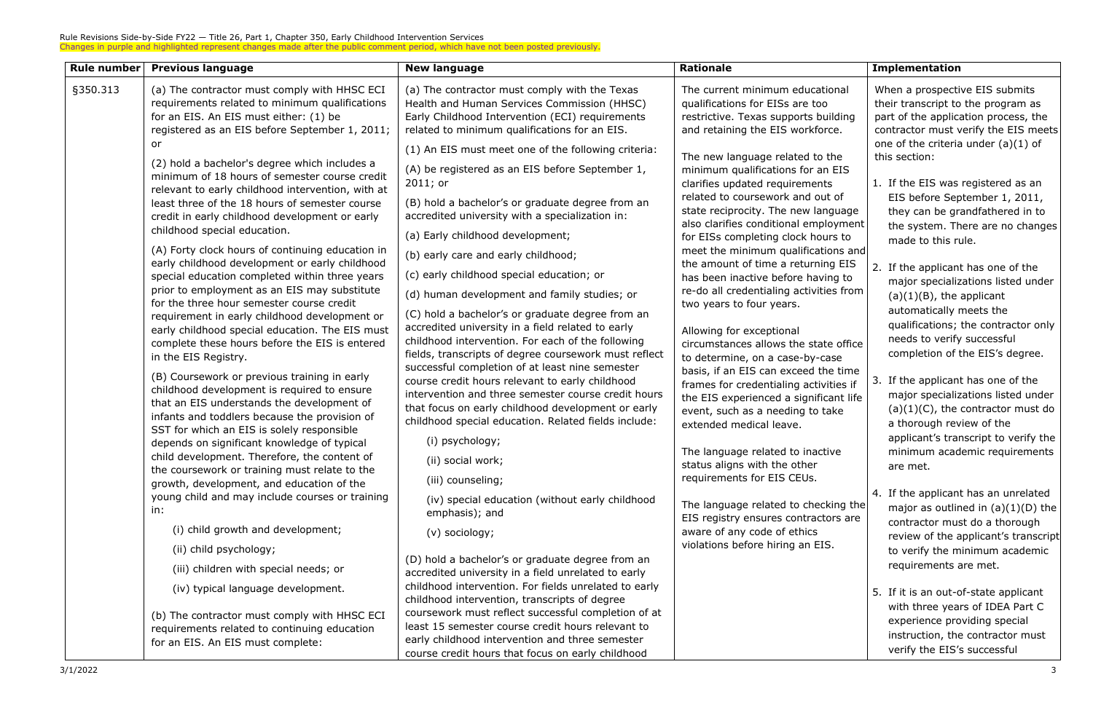| Rule number | <b>Previous language</b>                                                                                                                                                                                                                                                                                                                                                                                                                                                                                                                                                                                                                                                                                                                                                                                                                                                                                                                                                                                                                                                                                                                                                                                                                                                                           | <b>New language</b>                                                                                                                                                                                                                                                                                                                                                                                                                                                                                                                                                                                                                                                                                                                                                                                                                                                                                                                                                                                                                                       | <b>Rationale</b>                                                                                                                                                                                                                                                                                                                                                                                                                                                                                                                                                                                                                                                                                                                                                                                                                                                                                                                                                                                                   | <b>Implementation</b>                                                                                                                                                                                                                                                                                                                                                                                                                                                                                                                                                                                                                                                                                                                                                                                                                                                                                    |
|-------------|----------------------------------------------------------------------------------------------------------------------------------------------------------------------------------------------------------------------------------------------------------------------------------------------------------------------------------------------------------------------------------------------------------------------------------------------------------------------------------------------------------------------------------------------------------------------------------------------------------------------------------------------------------------------------------------------------------------------------------------------------------------------------------------------------------------------------------------------------------------------------------------------------------------------------------------------------------------------------------------------------------------------------------------------------------------------------------------------------------------------------------------------------------------------------------------------------------------------------------------------------------------------------------------------------|-----------------------------------------------------------------------------------------------------------------------------------------------------------------------------------------------------------------------------------------------------------------------------------------------------------------------------------------------------------------------------------------------------------------------------------------------------------------------------------------------------------------------------------------------------------------------------------------------------------------------------------------------------------------------------------------------------------------------------------------------------------------------------------------------------------------------------------------------------------------------------------------------------------------------------------------------------------------------------------------------------------------------------------------------------------|--------------------------------------------------------------------------------------------------------------------------------------------------------------------------------------------------------------------------------------------------------------------------------------------------------------------------------------------------------------------------------------------------------------------------------------------------------------------------------------------------------------------------------------------------------------------------------------------------------------------------------------------------------------------------------------------------------------------------------------------------------------------------------------------------------------------------------------------------------------------------------------------------------------------------------------------------------------------------------------------------------------------|----------------------------------------------------------------------------------------------------------------------------------------------------------------------------------------------------------------------------------------------------------------------------------------------------------------------------------------------------------------------------------------------------------------------------------------------------------------------------------------------------------------------------------------------------------------------------------------------------------------------------------------------------------------------------------------------------------------------------------------------------------------------------------------------------------------------------------------------------------------------------------------------------------|
| §350.313    | (a) The contractor must comply with HHSC ECI<br>requirements related to minimum qualifications<br>for an EIS. An EIS must either: (1) be<br>registered as an EIS before September 1, 2011;                                                                                                                                                                                                                                                                                                                                                                                                                                                                                                                                                                                                                                                                                                                                                                                                                                                                                                                                                                                                                                                                                                         | (a) The contractor must comply with the Texas<br>Health and Human Services Commission (HHSC)<br>Early Childhood Intervention (ECI) requirements<br>related to minimum qualifications for an EIS.                                                                                                                                                                                                                                                                                                                                                                                                                                                                                                                                                                                                                                                                                                                                                                                                                                                          | The current minimum educational<br>qualifications for EISs are too<br>restrictive. Texas supports building<br>and retaining the EIS workforce.                                                                                                                                                                                                                                                                                                                                                                                                                                                                                                                                                                                                                                                                                                                                                                                                                                                                     | When a prospective EIS submits<br>their transcript to the program as<br>part of the application process, the<br>contractor must verify the EIS meets                                                                                                                                                                                                                                                                                                                                                                                                                                                                                                                                                                                                                                                                                                                                                     |
|             | or<br>(2) hold a bachelor's degree which includes a<br>minimum of 18 hours of semester course credit<br>relevant to early childhood intervention, with at<br>least three of the 18 hours of semester course<br>credit in early childhood development or early<br>childhood special education.<br>(A) Forty clock hours of continuing education in<br>early childhood development or early childhood<br>special education completed within three years<br>prior to employment as an EIS may substitute<br>for the three hour semester course credit<br>requirement in early childhood development or<br>early childhood special education. The EIS must<br>complete these hours before the EIS is entered<br>in the EIS Registry.<br>(B) Coursework or previous training in early<br>childhood development is required to ensure<br>that an EIS understands the development of<br>infants and toddlers because the provision of<br>SST for which an EIS is solely responsible<br>depends on significant knowledge of typical<br>child development. Therefore, the content of<br>the coursework or training must relate to the<br>growth, development, and education of the<br>young child and may include courses or training<br>in:<br>(i) child growth and development;<br>(ii) child psychology; | (1) An EIS must meet one of the following criteria:<br>(A) be registered as an EIS before September 1,<br>$2011;$ or<br>(B) hold a bachelor's or graduate degree from an<br>accredited university with a specialization in:<br>(a) Early childhood development;<br>(b) early care and early childhood;<br>(c) early childhood special education; or<br>(d) human development and family studies; or<br>(C) hold a bachelor's or graduate degree from an<br>accredited university in a field related to early<br>childhood intervention. For each of the following<br>fields, transcripts of degree coursework must reflect<br>successful completion of at least nine semester<br>course credit hours relevant to early childhood<br>intervention and three semester course credit hours<br>that focus on early childhood development or early<br>childhood special education. Related fields include:<br>(i) psychology;<br>(ii) social work;<br>(iii) counseling;<br>(iv) special education (without early childhood<br>emphasis); and<br>(v) sociology; | The new language related to the<br>minimum qualifications for an EIS<br>clarifies updated requirements<br>related to coursework and out of<br>state reciprocity. The new language<br>also clarifies conditional employment<br>for EISs completing clock hours to<br>meet the minimum qualifications and<br>the amount of time a returning EIS<br>has been inactive before having to<br>re-do all credentialing activities from<br>two years to four years.<br>Allowing for exceptional<br>circumstances allows the state office<br>to determine, on a case-by-case<br>basis, if an EIS can exceed the time<br>frames for credentialing activities if<br>the EIS experienced a significant life<br>event, such as a needing to take<br>extended medical leave.<br>The language related to inactive<br>status aligns with the other<br>requirements for EIS CEUs.<br>The language related to checking the<br>EIS registry ensures contractors are<br>aware of any code of ethics<br>violations before hiring an EIS. | one of the criteria under $(a)(1)$ of<br>this section:<br>1. If the EIS was registered as an<br>EIS before September 1, 2011,<br>they can be grandfathered in to<br>the system. There are no changes<br>made to this rule.<br>2. If the applicant has one of the<br>major specializations listed under<br>$(a)(1)(B)$ , the applicant<br>automatically meets the<br>qualifications; the contractor only<br>needs to verify successful<br>completion of the EIS's degree.<br>3. If the applicant has one of the<br>major specializations listed under<br>$(a)(1)(C)$ , the contractor must do<br>a thorough review of the<br>applicant's transcript to verify the<br>minimum academic requirements<br>are met.<br>4. If the applicant has an unrelated<br>major as outlined in $(a)(1)(D)$ the<br>contractor must do a thorough<br>review of the applicant's transcript<br>to verify the minimum academic |
|             | (iii) children with special needs; or                                                                                                                                                                                                                                                                                                                                                                                                                                                                                                                                                                                                                                                                                                                                                                                                                                                                                                                                                                                                                                                                                                                                                                                                                                                              | (D) hold a bachelor's or graduate degree from an<br>accredited university in a field unrelated to early                                                                                                                                                                                                                                                                                                                                                                                                                                                                                                                                                                                                                                                                                                                                                                                                                                                                                                                                                   |                                                                                                                                                                                                                                                                                                                                                                                                                                                                                                                                                                                                                                                                                                                                                                                                                                                                                                                                                                                                                    | requirements are met.                                                                                                                                                                                                                                                                                                                                                                                                                                                                                                                                                                                                                                                                                                                                                                                                                                                                                    |
|             | (iv) typical language development.                                                                                                                                                                                                                                                                                                                                                                                                                                                                                                                                                                                                                                                                                                                                                                                                                                                                                                                                                                                                                                                                                                                                                                                                                                                                 | childhood intervention. For fields unrelated to early<br>childhood intervention, transcripts of degree                                                                                                                                                                                                                                                                                                                                                                                                                                                                                                                                                                                                                                                                                                                                                                                                                                                                                                                                                    |                                                                                                                                                                                                                                                                                                                                                                                                                                                                                                                                                                                                                                                                                                                                                                                                                                                                                                                                                                                                                    | 5. If it is an out-of-state applicant<br>with three years of IDEA Part C                                                                                                                                                                                                                                                                                                                                                                                                                                                                                                                                                                                                                                                                                                                                                                                                                                 |
|             | (b) The contractor must comply with HHSC ECI<br>requirements related to continuing education<br>for an EIS. An EIS must complete:                                                                                                                                                                                                                                                                                                                                                                                                                                                                                                                                                                                                                                                                                                                                                                                                                                                                                                                                                                                                                                                                                                                                                                  | coursework must reflect successful completion of at<br>least 15 semester course credit hours relevant to<br>early childhood intervention and three semester<br>course credit hours that focus on early childhood                                                                                                                                                                                                                                                                                                                                                                                                                                                                                                                                                                                                                                                                                                                                                                                                                                          |                                                                                                                                                                                                                                                                                                                                                                                                                                                                                                                                                                                                                                                                                                                                                                                                                                                                                                                                                                                                                    | experience providing special<br>instruction, the contractor must<br>verify the EIS's successful                                                                                                                                                                                                                                                                                                                                                                                                                                                                                                                                                                                                                                                                                                                                                                                                          |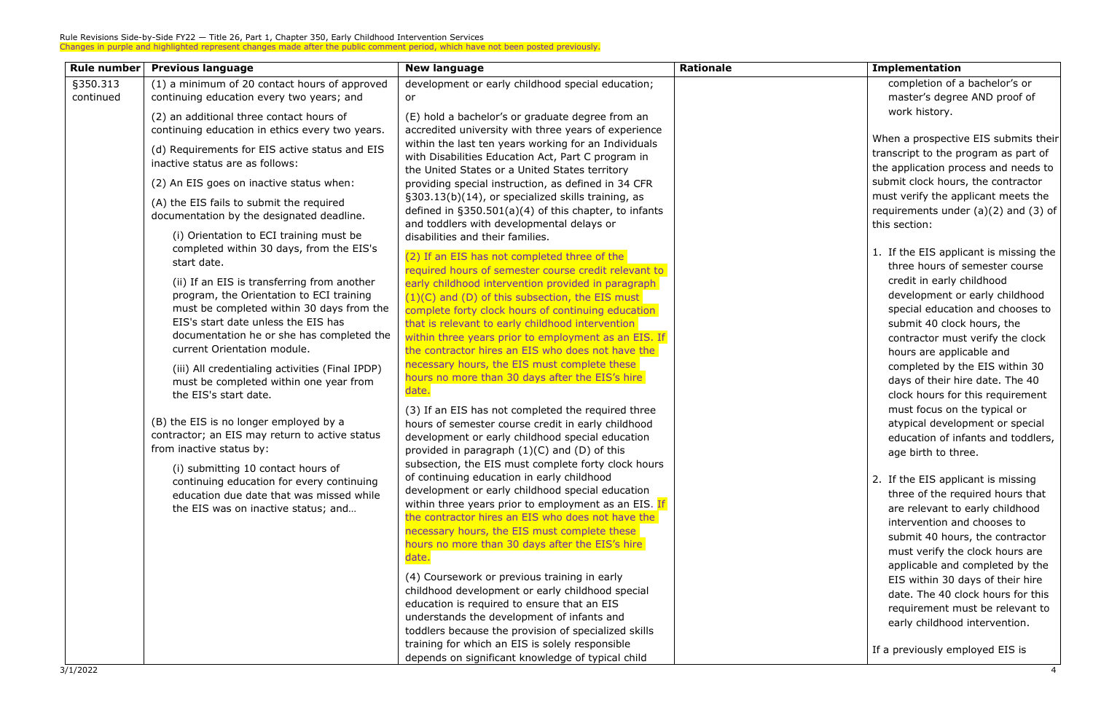| <b>Rule number</b> | <b>Previous language</b>                                                                                                                                                                                                                                                                                                                                      | <b>New language</b>                                                                                                                                                                                                                                                                                                                                                                                                                                                      | <b>Rationale</b> | Implementation                                                                                                                                    |
|--------------------|---------------------------------------------------------------------------------------------------------------------------------------------------------------------------------------------------------------------------------------------------------------------------------------------------------------------------------------------------------------|--------------------------------------------------------------------------------------------------------------------------------------------------------------------------------------------------------------------------------------------------------------------------------------------------------------------------------------------------------------------------------------------------------------------------------------------------------------------------|------------------|---------------------------------------------------------------------------------------------------------------------------------------------------|
| §350.313           | (1) a minimum of 20 contact hours of approved                                                                                                                                                                                                                                                                                                                 | development or early childhood special education;                                                                                                                                                                                                                                                                                                                                                                                                                        |                  | completion of a                                                                                                                                   |
| continued          | continuing education every two years; and                                                                                                                                                                                                                                                                                                                     | or.                                                                                                                                                                                                                                                                                                                                                                                                                                                                      |                  | master's degre                                                                                                                                    |
|                    | (2) an additional three contact hours of<br>continuing education in ethics every two years.                                                                                                                                                                                                                                                                   | (E) hold a bachelor's or graduate degree from an<br>accredited university with three years of experience                                                                                                                                                                                                                                                                                                                                                                 |                  | work history.                                                                                                                                     |
|                    | (d) Requirements for EIS active status and EIS<br>inactive status are as follows:                                                                                                                                                                                                                                                                             | within the last ten years working for an Individuals<br>with Disabilities Education Act, Part C program in<br>the United States or a United States territory                                                                                                                                                                                                                                                                                                             |                  | When a prospectiv<br>transcript to the p<br>the application pro                                                                                   |
|                    | (2) An EIS goes on inactive status when:                                                                                                                                                                                                                                                                                                                      | providing special instruction, as defined in 34 CFR                                                                                                                                                                                                                                                                                                                                                                                                                      |                  | submit clock hour                                                                                                                                 |
|                    | (A) the EIS fails to submit the required<br>documentation by the designated deadline.                                                                                                                                                                                                                                                                         | §303.13(b)(14), or specialized skills training, as<br>defined in $\S350.501(a)(4)$ of this chapter, to infants<br>and toddlers with developmental delays or                                                                                                                                                                                                                                                                                                              |                  | must verify the ap<br>requirements und<br>this section:                                                                                           |
|                    | (i) Orientation to ECI training must be<br>completed within 30 days, from the EIS's<br>start date.<br>(ii) If an EIS is transferring from another<br>program, the Orientation to ECI training<br>must be completed within 30 days from the<br>EIS's start date unless the EIS has<br>documentation he or she has completed the<br>current Orientation module. | disabilities and their families.<br>(2) If an EIS has not completed three of the<br>required hours of semester course credit relevant to<br>early childhood intervention provided in paragraph<br>(1)(C) and (D) of this subsection, the EIS must<br>complete forty clock hours of continuing education<br>that is relevant to early childhood intervention<br>within three years prior to employment as an EIS. If<br>the contractor hires an EIS who does not have the |                  | 1. If the EIS appl<br>three hours of<br>credit in early<br>development o<br>special educati<br>submit 40 cloc<br>contractor mus<br>hours are appl |
|                    | (iii) All credentialing activities (Final IPDP)<br>must be completed within one year from<br>the EIS's start date.                                                                                                                                                                                                                                            | necessary hours, the EIS must complete these<br>hours no more than 30 days after the EIS's hire<br>date.                                                                                                                                                                                                                                                                                                                                                                 |                  | completed by t<br>days of their h<br>clock hours for                                                                                              |
|                    | (B) the EIS is no longer employed by a<br>contractor; an EIS may return to active status<br>from inactive status by:                                                                                                                                                                                                                                          | (3) If an EIS has not completed the required three<br>hours of semester course credit in early childhood<br>development or early childhood special education<br>provided in paragraph $(1)(C)$ and $(D)$ of this<br>subsection, the EIS must complete forty clock hours                                                                                                                                                                                                  |                  | must focus on<br>atypical develo<br>education of in<br>age birth to the                                                                           |
|                    | (i) submitting 10 contact hours of<br>continuing education for every continuing<br>education due date that was missed while<br>the EIS was on inactive status; and                                                                                                                                                                                            | of continuing education in early childhood<br>development or early childhood special education<br>within three years prior to employment as an EIS. If<br>the contractor hires an EIS who does not have the<br>necessary hours, the EIS must complete these<br>hours no more than 30 days after the EIS's hire<br>date.                                                                                                                                                  |                  | 2. If the EIS appl<br>three of the re<br>are relevant to<br>intervention ar<br>submit 40 hou<br>must verify the                                   |
|                    |                                                                                                                                                                                                                                                                                                                                                               | (4) Coursework or previous training in early<br>childhood development or early childhood special<br>education is required to ensure that an EIS                                                                                                                                                                                                                                                                                                                          |                  | applicable and<br>EIS within 30 o<br>date. The 40 c<br>requirement m                                                                              |
|                    |                                                                                                                                                                                                                                                                                                                                                               | understands the development of infants and<br>toddlers because the provision of specialized skills                                                                                                                                                                                                                                                                                                                                                                       |                  | early childhood                                                                                                                                   |
|                    |                                                                                                                                                                                                                                                                                                                                                               | training for which an EIS is solely responsible<br>depends on significant knowledge of typical child                                                                                                                                                                                                                                                                                                                                                                     |                  | If a previously em                                                                                                                                |

| <b>Implementation</b>                                                                                                                                                                                                                                                                                                                                                                                                                                                                                                               |
|-------------------------------------------------------------------------------------------------------------------------------------------------------------------------------------------------------------------------------------------------------------------------------------------------------------------------------------------------------------------------------------------------------------------------------------------------------------------------------------------------------------------------------------|
| completion of a bachelor's or<br>master's degree AND proof of<br>work history.<br>When a prospective EIS submits their<br>transcript to the program as part of<br>the application process and needs to<br>submit clock hours, the contractor<br>must verify the applicant meets the<br>requirements under $(a)(2)$ and $(3)$ of                                                                                                                                                                                                     |
| this section:<br>1. If the EIS applicant is missing the<br>three hours of semester course<br>credit in early childhood<br>development or early childhood<br>special education and chooses to<br>submit 40 clock hours, the<br>contractor must verify the clock<br>hours are applicable and<br>completed by the EIS within 30<br>days of their hire date. The 40<br>clock hours for this requirement<br>must focus on the typical or<br>atypical development or special<br>education of infants and toddlers,<br>age birth to three. |
| If the EIS applicant is missing<br>2.<br>three of the required hours that<br>are relevant to early childhood<br>intervention and chooses to<br>submit 40 hours, the contractor<br>must verify the clock hours are<br>applicable and completed by the<br>EIS within 30 days of their hire<br>date. The 40 clock hours for this<br>requirement must be relevant to<br>early childhood intervention.                                                                                                                                   |

If a previously employed EIS is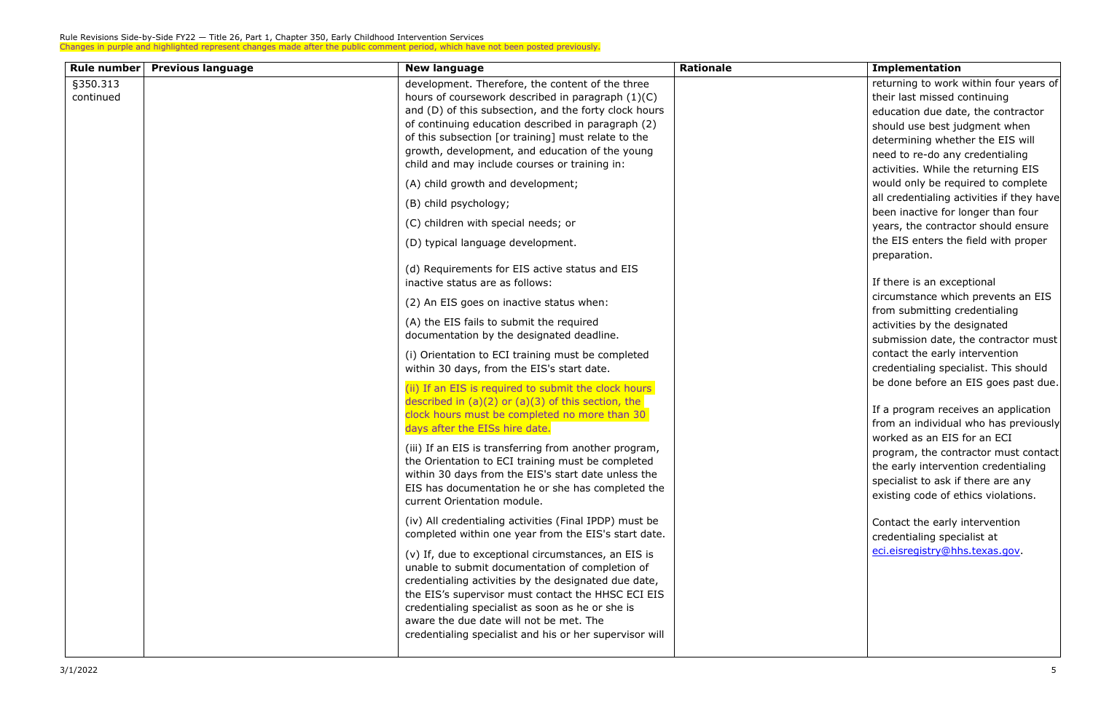| Rule number | <b>Previous language</b> | <b>New language</b>                                     | <b>Rationale</b> | <b>Implementation</b>                   |
|-------------|--------------------------|---------------------------------------------------------|------------------|-----------------------------------------|
| §350.313    |                          | development. Therefore, the content of the three        |                  | returning to work                       |
| continued   |                          | hours of coursework described in paragraph (1)(C)       |                  | their last missed of                    |
|             |                          | and (D) of this subsection, and the forty clock hours   |                  | education due dat                       |
|             |                          | of continuing education described in paragraph (2)      |                  | should use best ju                      |
|             |                          | of this subsection [or training] must relate to the     |                  | determining whet                        |
|             |                          | growth, development, and education of the young         |                  | need to re-do any                       |
|             |                          | child and may include courses or training in:           |                  | activities. While th                    |
|             |                          | (A) child growth and development;                       |                  | would only be req                       |
|             |                          | (B) child psychology;                                   |                  | all credentialing a                     |
|             |                          |                                                         |                  | been inactive for I                     |
|             |                          | (C) children with special needs; or                     |                  | years, the contrac                      |
|             |                          | (D) typical language development.                       |                  | the EIS enters the                      |
|             |                          |                                                         |                  | preparation.                            |
|             |                          | (d) Requirements for EIS active status and EIS          |                  |                                         |
|             |                          | inactive status are as follows:                         |                  | If there is an exce                     |
|             |                          | (2) An EIS goes on inactive status when:                |                  | circumstance whic                       |
|             |                          | (A) the EIS fails to submit the required                |                  | from submitting c                       |
|             |                          | documentation by the designated deadline.               |                  | activities by the d                     |
|             |                          |                                                         |                  | submission date,                        |
|             |                          | (i) Orientation to ECI training must be completed       |                  | contact the early i                     |
|             |                          | within 30 days, from the EIS's start date.              |                  | credentialing spec<br>be done before ar |
|             |                          | (ii) If an EIS is required to submit the clock hours    |                  |                                         |
|             |                          | described in $(a)(2)$ or $(a)(3)$ of this section, the  |                  | If a program recei                      |
|             |                          | clock hours must be completed no more than 30           |                  | from an individual                      |
|             |                          | days after the EISs hire date.                          |                  | worked as an EIS                        |
|             |                          | (iii) If an EIS is transferring from another program,   |                  | program, the cont                       |
|             |                          | the Orientation to ECI training must be completed       |                  | the early interven                      |
|             |                          | within 30 days from the EIS's start date unless the     |                  | specialist to ask if                    |
|             |                          | EIS has documentation he or she has completed the       |                  | existing code of et                     |
|             |                          | current Orientation module.                             |                  |                                         |
|             |                          | (iv) All credentialing activities (Final IPDP) must be  |                  | Contact the early                       |
|             |                          | completed within one year from the EIS's start date.    |                  | credentialing spec                      |
|             |                          | (v) If, due to exceptional circumstances, an EIS is     |                  | eci.eisregistry@hl                      |
|             |                          | unable to submit documentation of completion of         |                  |                                         |
|             |                          | credentialing activities by the designated due date,    |                  |                                         |
|             |                          | the EIS's supervisor must contact the HHSC ECI EIS      |                  |                                         |
|             |                          | credentialing specialist as soon as he or she is        |                  |                                         |
|             |                          | aware the due date will not be met. The                 |                  |                                         |
|             |                          | credentialing specialist and his or her supervisor will |                  |                                         |
|             |                          |                                                         |                  |                                         |

| <b>Implementation</b>                                                                                                                                                                                                                                                                                                                                                                                                                                                               |
|-------------------------------------------------------------------------------------------------------------------------------------------------------------------------------------------------------------------------------------------------------------------------------------------------------------------------------------------------------------------------------------------------------------------------------------------------------------------------------------|
| returning to work within four years of<br>their last missed continuing<br>education due date, the contractor<br>should use best judgment when<br>determining whether the EIS will<br>need to re-do any credentialing<br>activities. While the returning EIS<br>would only be required to complete<br>all credentialing activities if they have<br>been inactive for longer than four<br>years, the contractor should ensure<br>the EIS enters the field with proper<br>preparation. |
| If there is an exceptional<br>circumstance which prevents an EIS<br>from submitting credentialing<br>activities by the designated<br>submission date, the contractor must<br>contact the early intervention<br>credentialing specialist. This should<br>be done before an EIS goes past due.                                                                                                                                                                                        |
| If a program receives an application<br>from an individual who has previously<br>worked as an EIS for an ECI<br>program, the contractor must contact<br>the early intervention credentialing<br>specialist to ask if there are any<br>existing code of ethics violations.<br>Contact the early intervention<br>credentialing specialist at                                                                                                                                          |
| <u>eci.eisregistry@hhs.texas.gov</u> .                                                                                                                                                                                                                                                                                                                                                                                                                                              |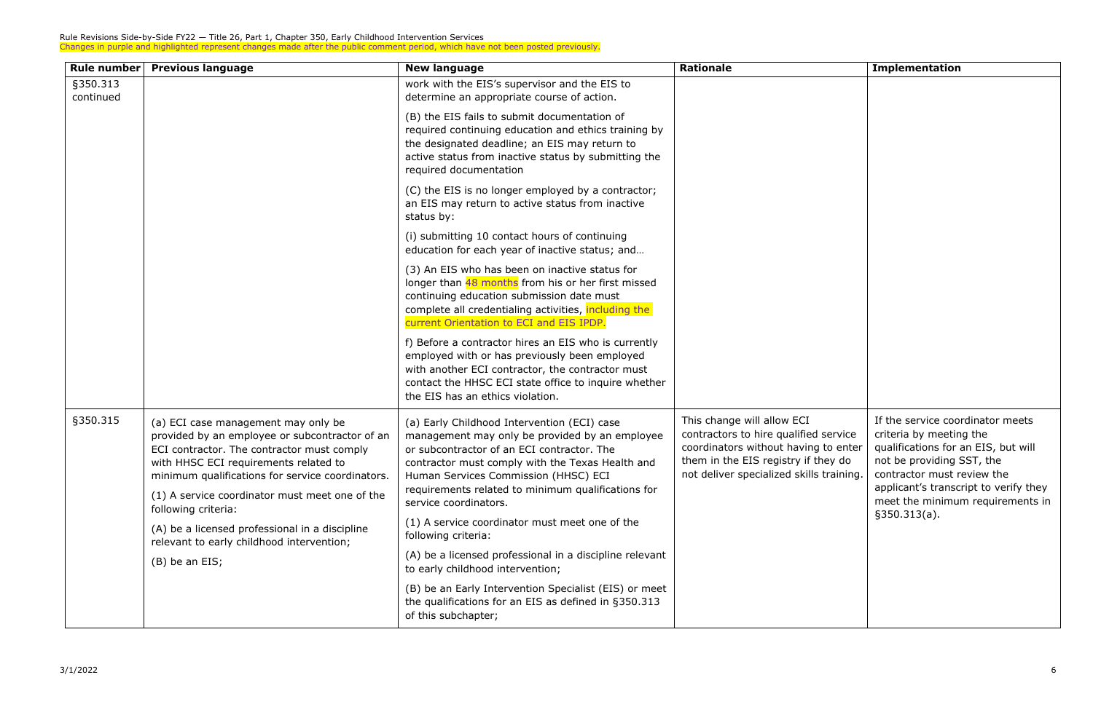| <b>Rule number</b>    | <b>Previous language</b>                                                                                                                                                                                                                                                           | <b>New language</b>                                                                                                                                                                                                                                                                           | <b>Rationale</b>                                                                                                                                                                               | <b>Implementation</b>                                                                                                                                                                                                                      |
|-----------------------|------------------------------------------------------------------------------------------------------------------------------------------------------------------------------------------------------------------------------------------------------------------------------------|-----------------------------------------------------------------------------------------------------------------------------------------------------------------------------------------------------------------------------------------------------------------------------------------------|------------------------------------------------------------------------------------------------------------------------------------------------------------------------------------------------|--------------------------------------------------------------------------------------------------------------------------------------------------------------------------------------------------------------------------------------------|
| §350.313<br>continued |                                                                                                                                                                                                                                                                                    | work with the EIS's supervisor and the EIS to<br>determine an appropriate course of action.                                                                                                                                                                                                   |                                                                                                                                                                                                |                                                                                                                                                                                                                                            |
|                       |                                                                                                                                                                                                                                                                                    | (B) the EIS fails to submit documentation of<br>required continuing education and ethics training by<br>the designated deadline; an EIS may return to<br>active status from inactive status by submitting the<br>required documentation                                                       |                                                                                                                                                                                                |                                                                                                                                                                                                                                            |
|                       |                                                                                                                                                                                                                                                                                    | (C) the EIS is no longer employed by a contractor;<br>an EIS may return to active status from inactive<br>status by:                                                                                                                                                                          |                                                                                                                                                                                                |                                                                                                                                                                                                                                            |
|                       |                                                                                                                                                                                                                                                                                    | (i) submitting 10 contact hours of continuing<br>education for each year of inactive status; and                                                                                                                                                                                              |                                                                                                                                                                                                |                                                                                                                                                                                                                                            |
|                       |                                                                                                                                                                                                                                                                                    | (3) An EIS who has been on inactive status for<br>longer than 48 months from his or her first missed<br>continuing education submission date must<br>complete all credentialing activities, including the<br>current Orientation to ECI and EIS IPDP.                                         |                                                                                                                                                                                                |                                                                                                                                                                                                                                            |
|                       |                                                                                                                                                                                                                                                                                    | f) Before a contractor hires an EIS who is currently<br>employed with or has previously been employed<br>with another ECI contractor, the contractor must<br>contact the HHSC ECI state office to inquire whether<br>the EIS has an ethics violation.                                         |                                                                                                                                                                                                |                                                                                                                                                                                                                                            |
| §350.315              | (a) ECI case management may only be<br>provided by an employee or subcontractor of an<br>ECI contractor. The contractor must comply<br>with HHSC ECI requirements related to<br>minimum qualifications for service coordinators.<br>(1) A service coordinator must meet one of the | (a) Early Childhood Intervention (ECI) case<br>management may only be provided by an employee<br>or subcontractor of an ECI contractor. The<br>contractor must comply with the Texas Health and<br>Human Services Commission (HHSC) ECI<br>requirements related to minimum qualifications for | This change will allow ECI<br>contractors to hire qualified service<br>coordinators without having to enter<br>them in the EIS registry if they do<br>not deliver specialized skills training. | If the service coordinator meets<br>criteria by meeting the<br>qualifications for an EIS, but will<br>not be providing SST, the<br>contractor must review the<br>applicant's transcript to verify they<br>meet the minimum requirements in |
|                       | following criteria:                                                                                                                                                                                                                                                                | service coordinators.<br>(1) A service coordinator must meet one of the                                                                                                                                                                                                                       |                                                                                                                                                                                                | §350.313(a).                                                                                                                                                                                                                               |
|                       | (A) be a licensed professional in a discipline<br>following criteria:<br>relevant to early childhood intervention;                                                                                                                                                                 |                                                                                                                                                                                                                                                                                               |                                                                                                                                                                                                |                                                                                                                                                                                                                                            |
|                       | (B) be an EIS;                                                                                                                                                                                                                                                                     | (A) be a licensed professional in a discipline relevant<br>to early childhood intervention;                                                                                                                                                                                                   |                                                                                                                                                                                                |                                                                                                                                                                                                                                            |
|                       |                                                                                                                                                                                                                                                                                    | (B) be an Early Intervention Specialist (EIS) or meet<br>the qualifications for an EIS as defined in §350.313<br>of this subchapter;                                                                                                                                                          |                                                                                                                                                                                                |                                                                                                                                                                                                                                            |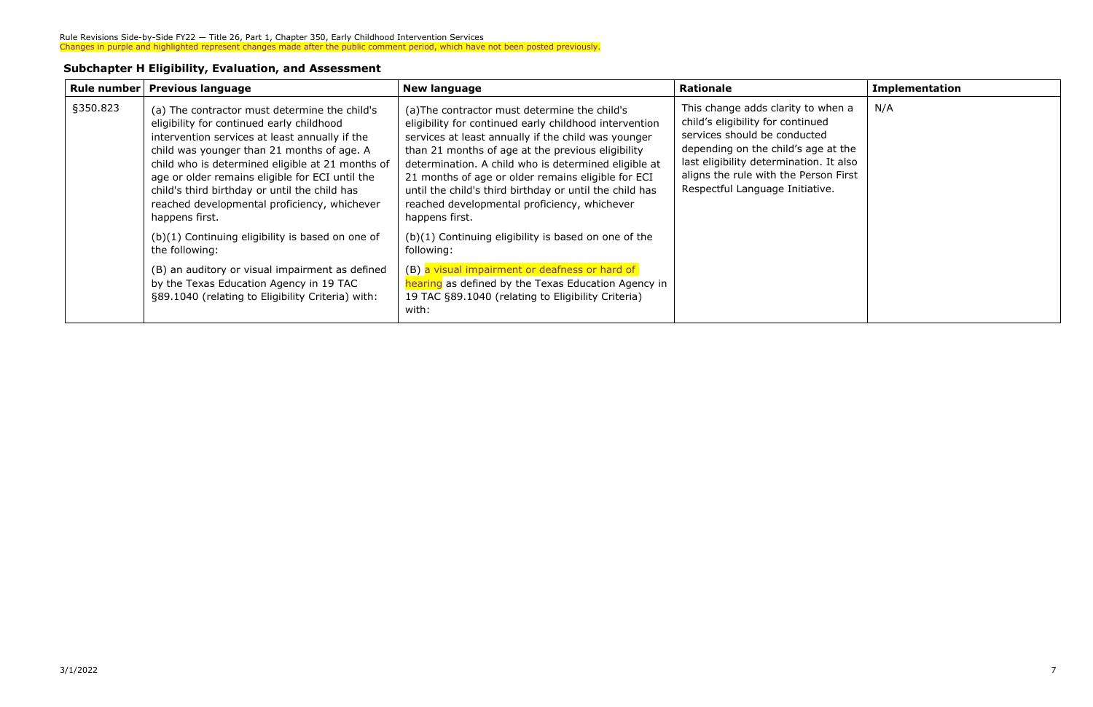#### **Subchapter H Eligibility, Evaluation, and Assessment**

| Rule number | <b>Previous language</b>                                                                                                                                                                                                                                                                                                                                                                                             | <b>New language</b>                                                                                                                                                                                                                                                                                                                                                                                                                                            | <b>Rationale</b>                                                                                                                                                                                                                                                      | <b>Implementation</b> |
|-------------|----------------------------------------------------------------------------------------------------------------------------------------------------------------------------------------------------------------------------------------------------------------------------------------------------------------------------------------------------------------------------------------------------------------------|----------------------------------------------------------------------------------------------------------------------------------------------------------------------------------------------------------------------------------------------------------------------------------------------------------------------------------------------------------------------------------------------------------------------------------------------------------------|-----------------------------------------------------------------------------------------------------------------------------------------------------------------------------------------------------------------------------------------------------------------------|-----------------------|
| §350.823    | (a) The contractor must determine the child's<br>eligibility for continued early childhood<br>intervention services at least annually if the<br>child was younger than 21 months of age. A<br>child who is determined eligible at 21 months of<br>age or older remains eligible for ECI until the<br>child's third birthday or until the child has<br>reached developmental proficiency, whichever<br>happens first. | (a) The contractor must determine the child's<br>eligibility for continued early childhood intervention<br>services at least annually if the child was younger<br>than 21 months of age at the previous eligibility<br>determination. A child who is determined eligible at<br>21 months of age or older remains eligible for ECI<br>until the child's third birthday or until the child has<br>reached developmental proficiency, whichever<br>happens first. | This change adds clarity to when a<br>child's eligibility for continued<br>services should be conducted<br>depending on the child's age at the<br>last eligibility determination. It also<br>aligns the rule with the Person First<br>Respectful Language Initiative. | N/A                   |
|             | $(b)(1)$ Continuing eligibility is based on one of<br>the following:                                                                                                                                                                                                                                                                                                                                                 | $(b)(1)$ Continuing eligibility is based on one of the<br>following:                                                                                                                                                                                                                                                                                                                                                                                           |                                                                                                                                                                                                                                                                       |                       |
|             | (B) an auditory or visual impairment as defined<br>by the Texas Education Agency in 19 TAC<br>§89.1040 (relating to Eligibility Criteria) with:                                                                                                                                                                                                                                                                      | (B) a visual impairment or deafness or hard of<br>hearing as defined by the Texas Education Agency in<br>19 TAC §89.1040 (relating to Eligibility Criteria)<br>with:                                                                                                                                                                                                                                                                                           |                                                                                                                                                                                                                                                                       |                       |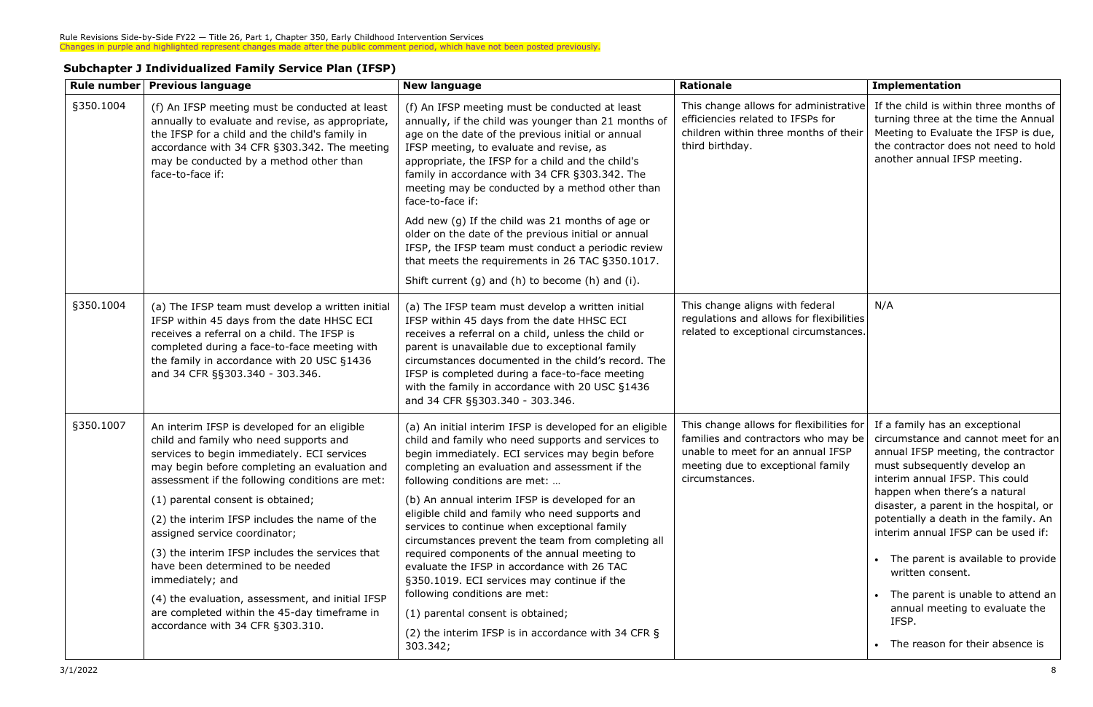| <b>Subchapter J Individualized Family Service Plan (IFSP)</b> |  |  |
|---------------------------------------------------------------|--|--|
|---------------------------------------------------------------|--|--|

|           | Rule number   Previous language                                                                                                                                                                                                                                                | <b>New language</b>                                                                                                                                                                                                                                                                                                                                                                                      | <b>Rationale</b>                                                                                                                                                            | <b>Implementation</b>                                                                                                                                                                          |
|-----------|--------------------------------------------------------------------------------------------------------------------------------------------------------------------------------------------------------------------------------------------------------------------------------|----------------------------------------------------------------------------------------------------------------------------------------------------------------------------------------------------------------------------------------------------------------------------------------------------------------------------------------------------------------------------------------------------------|-----------------------------------------------------------------------------------------------------------------------------------------------------------------------------|------------------------------------------------------------------------------------------------------------------------------------------------------------------------------------------------|
| §350.1004 | (f) An IFSP meeting must be conducted at least<br>annually to evaluate and revise, as appropriate,<br>the IFSP for a child and the child's family in<br>accordance with 34 CFR §303.342. The meeting<br>may be conducted by a method other than<br>face-to-face if:            | (f) An IFSP meeting must be conducted at least<br>annually, if the child was younger than 21 months of<br>age on the date of the previous initial or annual<br>IFSP meeting, to evaluate and revise, as<br>appropriate, the IFSP for a child and the child's<br>family in accordance with 34 CFR §303.342. The<br>meeting may be conducted by a method other than<br>face-to-face if:                    | This change allows for administrative<br>efficiencies related to IFSPs for<br>children within three months of their<br>third birthday.                                      | If the child is within three months of<br>turning three at the time the Annual<br>Meeting to Evaluate the IFSP is due,<br>the contractor does not need to hold<br>another annual IFSP meeting. |
|           |                                                                                                                                                                                                                                                                                | Add new (g) If the child was 21 months of age or<br>older on the date of the previous initial or annual<br>IFSP, the IFSP team must conduct a periodic review<br>that meets the requirements in 26 TAC §350.1017.<br>Shift current (g) and (h) to become (h) and (i).                                                                                                                                    |                                                                                                                                                                             |                                                                                                                                                                                                |
| §350.1004 | (a) The IFSP team must develop a written initial<br>IFSP within 45 days from the date HHSC ECI<br>receives a referral on a child. The IFSP is<br>completed during a face-to-face meeting with<br>the family in accordance with 20 USC §1436<br>and 34 CFR §§303.340 - 303.346. | (a) The IFSP team must develop a written initial<br>IFSP within 45 days from the date HHSC ECI<br>receives a referral on a child, unless the child or<br>parent is unavailable due to exceptional family<br>circumstances documented in the child's record. The<br>IFSP is completed during a face-to-face meeting<br>with the family in accordance with 20 USC §1436<br>and 34 CFR §§303.340 - 303.346. | This change aligns with federal<br>regulations and allows for flexibilities<br>related to exceptional circumstances.                                                        | N/A                                                                                                                                                                                            |
| §350.1007 | An interim IFSP is developed for an eligible<br>child and family who need supports and<br>services to begin immediately. ECI services<br>may begin before completing an evaluation and<br>assessment if the following conditions are met:                                      | (a) An initial interim IFSP is developed for an eligible<br>child and family who need supports and services to<br>begin immediately. ECI services may begin before<br>completing an evaluation and assessment if the<br>following conditions are met:                                                                                                                                                    | This change allows for flexibilities for<br>families and contractors who may be<br>unable to meet for an annual IFSP<br>meeting due to exceptional family<br>circumstances. | If a family has an exceptional<br>circumstance and cannot meet for an<br>annual IFSP meeting, the contractor<br>must subsequently develop an<br>interim annual IFSP. This could                |
|           | (1) parental consent is obtained;                                                                                                                                                                                                                                              | (b) An annual interim IFSP is developed for an                                                                                                                                                                                                                                                                                                                                                           |                                                                                                                                                                             | happen when there's a natural<br>disaster, a parent in the hospital, or                                                                                                                        |
|           | (2) the interim IFSP includes the name of the<br>assigned service coordinator;                                                                                                                                                                                                 | eligible child and family who need supports and<br>services to continue when exceptional family<br>circumstances prevent the team from completing all                                                                                                                                                                                                                                                    |                                                                                                                                                                             | potentially a death in the family. An<br>interim annual IFSP can be used if:                                                                                                                   |
|           | (3) the interim IFSP includes the services that<br>have been determined to be needed<br>immediately; and                                                                                                                                                                       | required components of the annual meeting to<br>evaluate the IFSP in accordance with 26 TAC<br>§350.1019. ECI services may continue if the<br>following conditions are met:                                                                                                                                                                                                                              |                                                                                                                                                                             | • The parent is available to provide<br>written consent.<br>• The parent is unable to attend an                                                                                                |
|           | (4) the evaluation, assessment, and initial IFSP<br>are completed within the 45-day timeframe in                                                                                                                                                                               | (1) parental consent is obtained;                                                                                                                                                                                                                                                                                                                                                                        |                                                                                                                                                                             | annual meeting to evaluate the                                                                                                                                                                 |
|           | accordance with 34 CFR §303.310.                                                                                                                                                                                                                                               | (2) the interim IFSP is in accordance with 34 CFR §<br>303.342;                                                                                                                                                                                                                                                                                                                                          |                                                                                                                                                                             | IFSP.<br>• The reason for their absence is                                                                                                                                                     |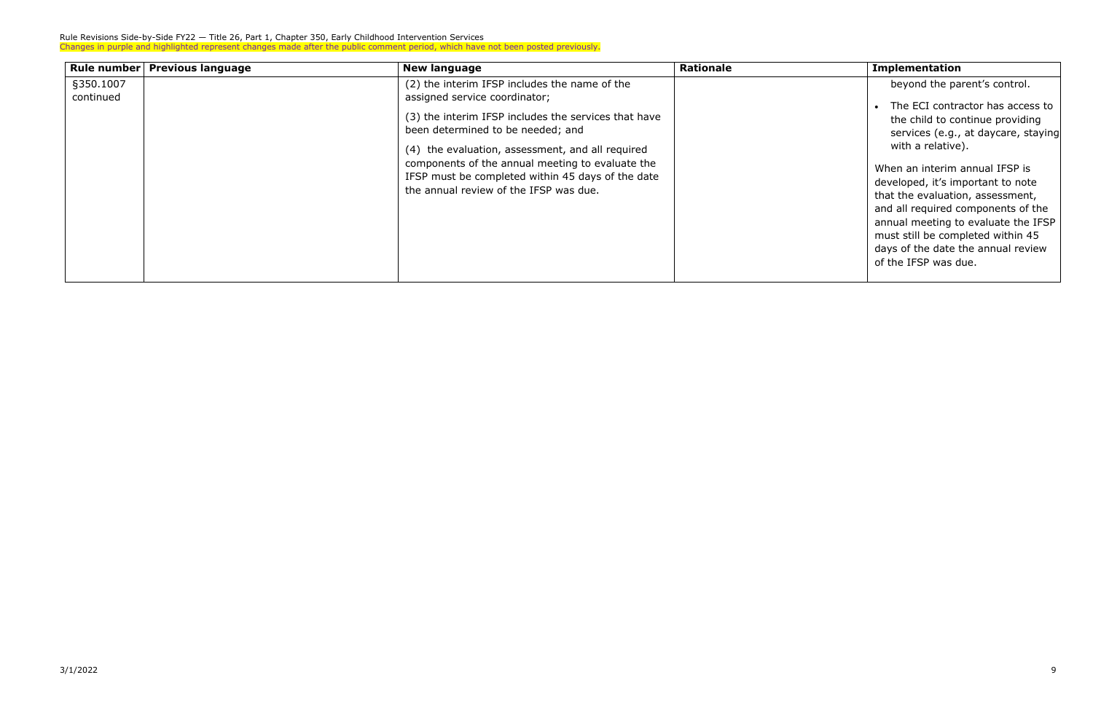| Rule number            | <b>Previous language</b> | <b>New language</b>                                                                                                                                                                                                                                                                                                                                                                | <b>Rationale</b> | <b>Implementation</b>                                                                                                                                                                                                                                              |
|------------------------|--------------------------|------------------------------------------------------------------------------------------------------------------------------------------------------------------------------------------------------------------------------------------------------------------------------------------------------------------------------------------------------------------------------------|------------------|--------------------------------------------------------------------------------------------------------------------------------------------------------------------------------------------------------------------------------------------------------------------|
| §350.1007<br>continued |                          | (2) the interim IFSP includes the name of the<br>assigned service coordinator;<br>(3) the interim IFSP includes the services that have<br>been determined to be needed; and<br>(4) the evaluation, assessment, and all required<br>components of the annual meeting to evaluate the<br>IFSP must be completed within 45 days of the date<br>the annual review of the IFSP was due. |                  | beyond the pa<br>The ECI contra<br>the child to co<br>services (e.g.,<br>with a relative<br>When an interim<br>developed, it's im<br>that the evaluatic<br>and all required c<br>annual meeting to<br>must still be com<br>days of the date t<br>of the IFSP was d |

| <b>Implementation</b>                                                                                                                                                                                                                                                                   |
|-----------------------------------------------------------------------------------------------------------------------------------------------------------------------------------------------------------------------------------------------------------------------------------------|
| beyond the parent's control.                                                                                                                                                                                                                                                            |
| The ECI contractor has access to<br>the child to continue providing<br>services (e.g., at daycare, staying<br>with a relative).                                                                                                                                                         |
| When an interim annual IFSP is<br>developed, it's important to note<br>that the evaluation, assessment,<br>and all required components of the<br>annual meeting to evaluate the IFSP<br>must still be completed within 45<br>days of the date the annual review<br>of the IFSP was due. |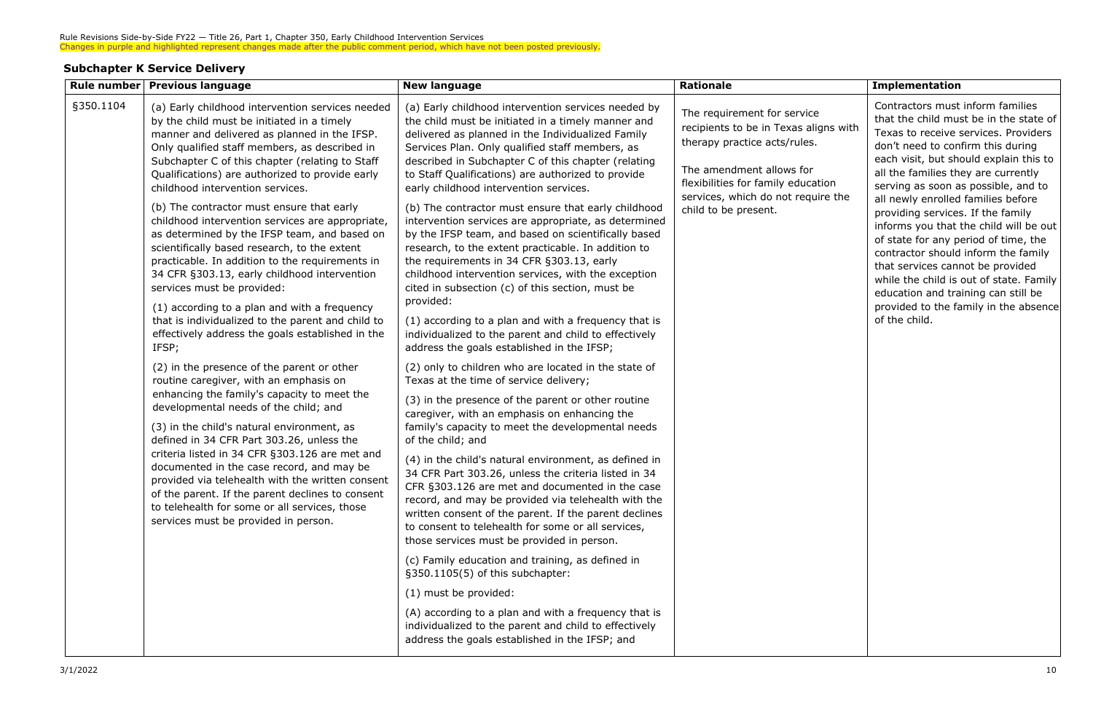### **Subchapter K Service Delivery**

|           | Rule number   Previous language                                                                                                                                                                                                                                                                                                                                                                                                                                                                                                                                                                                                                                                                                                                                                                                                                                                                                                                                                                                                                                                                                                                                                                                                                   | <b>New language</b>                                                                                                                                                                                                                                                                                                                                                                                                                                                                                                                                                                                                                                                                                                                                                                                                                                                                                                                       | <b>Rationale</b>                                                                                                                                                                                                                     | <b>Implementation</b>                                                                                                                                                                                                                                                                                                                                                                                                                                                                                                                                                                                                                                               |
|-----------|---------------------------------------------------------------------------------------------------------------------------------------------------------------------------------------------------------------------------------------------------------------------------------------------------------------------------------------------------------------------------------------------------------------------------------------------------------------------------------------------------------------------------------------------------------------------------------------------------------------------------------------------------------------------------------------------------------------------------------------------------------------------------------------------------------------------------------------------------------------------------------------------------------------------------------------------------------------------------------------------------------------------------------------------------------------------------------------------------------------------------------------------------------------------------------------------------------------------------------------------------|-------------------------------------------------------------------------------------------------------------------------------------------------------------------------------------------------------------------------------------------------------------------------------------------------------------------------------------------------------------------------------------------------------------------------------------------------------------------------------------------------------------------------------------------------------------------------------------------------------------------------------------------------------------------------------------------------------------------------------------------------------------------------------------------------------------------------------------------------------------------------------------------------------------------------------------------|--------------------------------------------------------------------------------------------------------------------------------------------------------------------------------------------------------------------------------------|---------------------------------------------------------------------------------------------------------------------------------------------------------------------------------------------------------------------------------------------------------------------------------------------------------------------------------------------------------------------------------------------------------------------------------------------------------------------------------------------------------------------------------------------------------------------------------------------------------------------------------------------------------------------|
| §350.1104 | (a) Early childhood intervention services needed<br>by the child must be initiated in a timely<br>manner and delivered as planned in the IFSP.<br>Only qualified staff members, as described in<br>Subchapter C of this chapter (relating to Staff<br>Qualifications) are authorized to provide early<br>childhood intervention services.<br>(b) The contractor must ensure that early<br>childhood intervention services are appropriate,<br>as determined by the IFSP team, and based on<br>scientifically based research, to the extent<br>practicable. In addition to the requirements in<br>34 CFR §303.13, early childhood intervention<br>services must be provided:<br>(1) according to a plan and with a frequency<br>that is individualized to the parent and child to<br>effectively address the goals established in the<br>IFSP;                                                                                                                                                                                                                                                                                                                                                                                                     | (a) Early childhood intervention services needed by<br>the child must be initiated in a timely manner and<br>delivered as planned in the Individualized Family<br>Services Plan. Only qualified staff members, as<br>described in Subchapter C of this chapter (relating<br>to Staff Qualifications) are authorized to provide<br>early childhood intervention services.<br>(b) The contractor must ensure that early childhood<br>intervention services are appropriate, as determined<br>by the IFSP team, and based on scientifically based<br>research, to the extent practicable. In addition to<br>the requirements in 34 CFR §303.13, early<br>childhood intervention services, with the exception<br>cited in subsection (c) of this section, must be<br>provided:<br>(1) according to a plan and with a frequency that is<br>individualized to the parent and child to effectively<br>address the goals established in the IFSP; | The requirement for service<br>recipients to be in Texas aligns with<br>therapy practice acts/rules.<br>The amendment allows for<br>flexibilities for family education<br>services, which do not require the<br>child to be present. | Contractors must inform families<br>that the child must be in the state of<br>Texas to receive services. Providers<br>don't need to confirm this during<br>each visit, but should explain this to<br>all the families they are currently<br>serving as soon as possible, and to<br>all newly enrolled families before<br>providing services. If the family<br>informs you that the child will be out<br>of state for any period of time, the<br>contractor should inform the family<br>that services cannot be provided<br>while the child is out of state. Family<br>education and training can still be<br>provided to the family in the absence<br>of the child. |
|           | (2) in the presence of the parent or other<br>(2) only to children who are located in the state of<br>routine caregiver, with an emphasis on<br>Texas at the time of service delivery;<br>enhancing the family's capacity to meet the<br>(3) in the presence of the parent or other routine<br>developmental needs of the child; and<br>caregiver, with an emphasis on enhancing the<br>family's capacity to meet the developmental needs<br>(3) in the child's natural environment, as<br>defined in 34 CFR Part 303.26, unless the<br>of the child; and<br>criteria listed in 34 CFR §303.126 are met and<br>(4) in the child's natural environment, as defined in<br>documented in the case record, and may be<br>34 CFR Part 303.26, unless the criteria listed in 34<br>provided via telehealth with the written consent<br>CFR §303.126 are met and documented in the case<br>of the parent. If the parent declines to consent<br>record, and may be provided via telehealth with the<br>to telehealth for some or all services, those<br>written consent of the parent. If the parent declines<br>services must be provided in person.<br>to consent to telehealth for some or all services,<br>those services must be provided in person. |                                                                                                                                                                                                                                                                                                                                                                                                                                                                                                                                                                                                                                                                                                                                                                                                                                                                                                                                           |                                                                                                                                                                                                                                      |                                                                                                                                                                                                                                                                                                                                                                                                                                                                                                                                                                                                                                                                     |
|           |                                                                                                                                                                                                                                                                                                                                                                                                                                                                                                                                                                                                                                                                                                                                                                                                                                                                                                                                                                                                                                                                                                                                                                                                                                                   |                                                                                                                                                                                                                                                                                                                                                                                                                                                                                                                                                                                                                                                                                                                                                                                                                                                                                                                                           |                                                                                                                                                                                                                                      |                                                                                                                                                                                                                                                                                                                                                                                                                                                                                                                                                                                                                                                                     |
|           |                                                                                                                                                                                                                                                                                                                                                                                                                                                                                                                                                                                                                                                                                                                                                                                                                                                                                                                                                                                                                                                                                                                                                                                                                                                   | (c) Family education and training, as defined in<br>§350.1105(5) of this subchapter:                                                                                                                                                                                                                                                                                                                                                                                                                                                                                                                                                                                                                                                                                                                                                                                                                                                      |                                                                                                                                                                                                                                      |                                                                                                                                                                                                                                                                                                                                                                                                                                                                                                                                                                                                                                                                     |
|           |                                                                                                                                                                                                                                                                                                                                                                                                                                                                                                                                                                                                                                                                                                                                                                                                                                                                                                                                                                                                                                                                                                                                                                                                                                                   | (1) must be provided:<br>(A) according to a plan and with a frequency that is<br>individualized to the parent and child to effectively<br>address the goals established in the IFSP; and                                                                                                                                                                                                                                                                                                                                                                                                                                                                                                                                                                                                                                                                                                                                                  |                                                                                                                                                                                                                                      |                                                                                                                                                                                                                                                                                                                                                                                                                                                                                                                                                                                                                                                                     |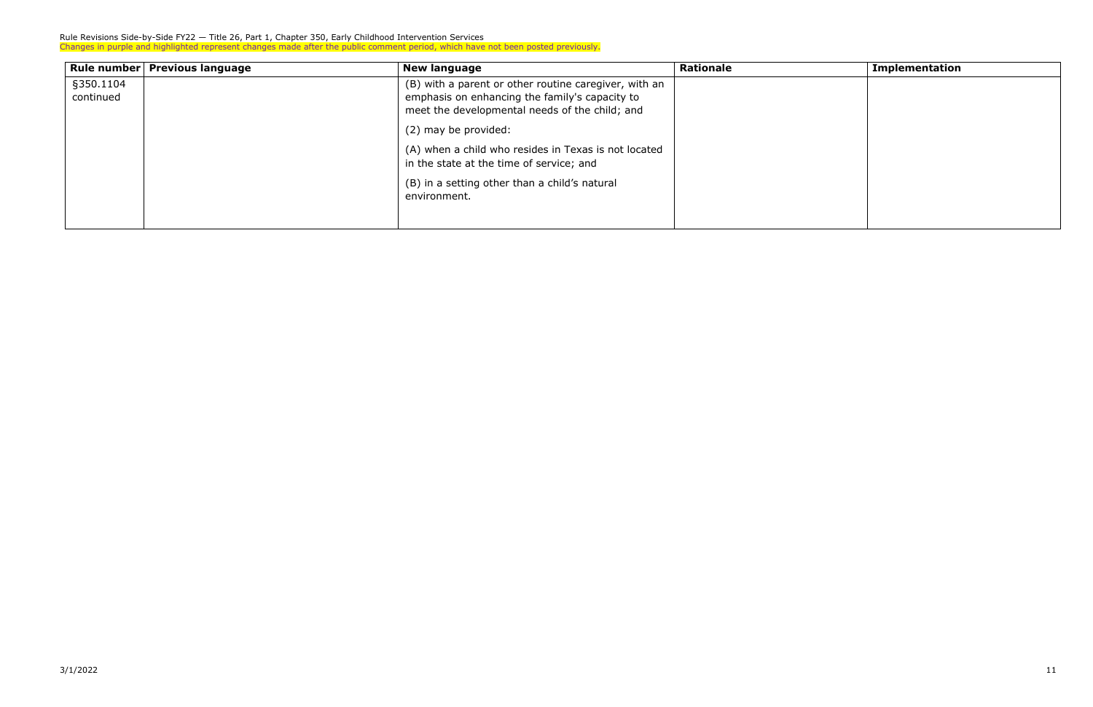| Rule number   Previous language | <b>New language</b>                                   | <b>Rationale</b> | <b>Implementation</b> |
|---------------------------------|-------------------------------------------------------|------------------|-----------------------|
| §350.1104                       | (B) with a parent or other routine caregiver, with an |                  |                       |
| continued                       | emphasis on enhancing the family's capacity to        |                  |                       |
|                                 | meet the developmental needs of the child; and        |                  |                       |
|                                 | (2) may be provided:                                  |                  |                       |
|                                 | (A) when a child who resides in Texas is not located  |                  |                       |
|                                 | in the state at the time of service; and              |                  |                       |
|                                 | (B) in a setting other than a child's natural         |                  |                       |
|                                 | environment.                                          |                  |                       |
|                                 |                                                       |                  |                       |
|                                 |                                                       |                  |                       |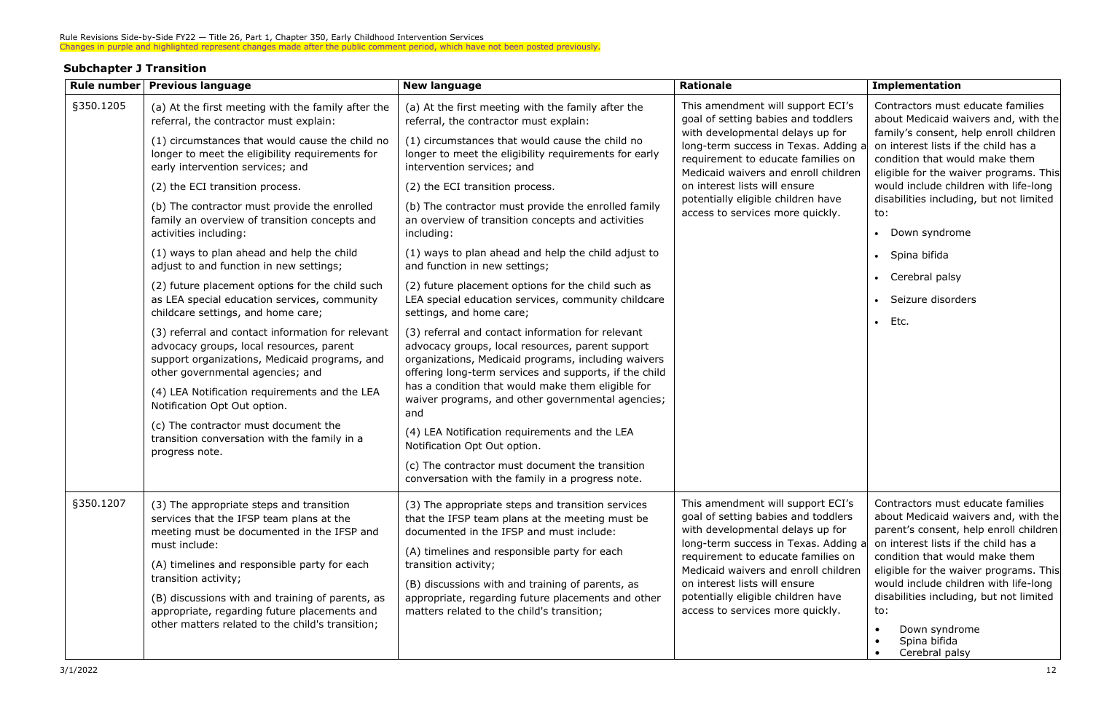## **Subchapter J Transition**

|           | Rule number   Previous language                                                                                                                                                                                                                                                                                                                                                                                                                                                                                        | <b>New language</b>                                                                                                                                                                                                                                                                                                                                                                                                                                                                                                                                                                                                                                                      | <b>Rationale</b>                                                                                                                                                                                                                                                                                                                              | <b>Implementation</b>                                                                                                                                                                                                                                                                                                                                                                 |                                                                                                                                                                                                                                                                                                                             |
|-----------|------------------------------------------------------------------------------------------------------------------------------------------------------------------------------------------------------------------------------------------------------------------------------------------------------------------------------------------------------------------------------------------------------------------------------------------------------------------------------------------------------------------------|--------------------------------------------------------------------------------------------------------------------------------------------------------------------------------------------------------------------------------------------------------------------------------------------------------------------------------------------------------------------------------------------------------------------------------------------------------------------------------------------------------------------------------------------------------------------------------------------------------------------------------------------------------------------------|-----------------------------------------------------------------------------------------------------------------------------------------------------------------------------------------------------------------------------------------------------------------------------------------------------------------------------------------------|---------------------------------------------------------------------------------------------------------------------------------------------------------------------------------------------------------------------------------------------------------------------------------------------------------------------------------------------------------------------------------------|-----------------------------------------------------------------------------------------------------------------------------------------------------------------------------------------------------------------------------------------------------------------------------------------------------------------------------|
| §350.1205 | (a) At the first meeting with the family after the<br>referral, the contractor must explain:<br>(1) circumstances that would cause the child no<br>longer to meet the eligibility requirements for<br>early intervention services; and<br>(2) the ECI transition process.<br>(b) The contractor must provide the enrolled<br>family an overview of transition concepts and<br>activities including:<br>(1) ways to plan ahead and help the child<br>adjust to and function in new settings;                            | (a) At the first meeting with the family after the<br>referral, the contractor must explain:<br>(1) circumstances that would cause the child no<br>longer to meet the eligibility requirements for early<br>intervention services; and<br>(2) the ECI transition process.<br>(b) The contractor must provide the enrolled family<br>an overview of transition concepts and activities<br>including:<br>(1) ways to plan ahead and help the child adjust to<br>and function in new settings;                                                                                                                                                                              | This amendment will support ECI's<br>goal of setting babies and toddlers<br>with developmental delays up for<br>long-term success in Texas. Adding a<br>requirement to educate families on<br>Medicaid waivers and enroll children<br>on interest lists will ensure<br>potentially eligible children have<br>access to services more quickly. | to:<br>• Down syndrome<br>• Spina bifida<br>• Cerebral palsy<br>Seizure disorders<br>$\bullet$ Etc.                                                                                                                                                                                                                                                                                   | Contractors must educate families<br>about Medicaid waivers and, with the<br>family's consent, help enroll children<br>on interest lists if the child has a<br>condition that would make them<br>eligible for the waiver programs. This<br>would include children with life-long<br>disabilities including, but not limited |
|           | (2) future placement options for the child such<br>as LEA special education services, community<br>childcare settings, and home care;<br>(3) referral and contact information for relevant<br>advocacy groups, local resources, parent<br>support organizations, Medicaid programs, and<br>other governmental agencies; and<br>(4) LEA Notification requirements and the LEA<br>Notification Opt Out option.<br>(c) The contractor must document the<br>transition conversation with the family in a<br>progress note. | (2) future placement options for the child such as<br>LEA special education services, community childcare<br>settings, and home care;<br>(3) referral and contact information for relevant<br>advocacy groups, local resources, parent support<br>organizations, Medicaid programs, including waivers<br>offering long-term services and supports, if the child<br>has a condition that would make them eligible for<br>waiver programs, and other governmental agencies;<br>and<br>(4) LEA Notification requirements and the LEA<br>Notification Opt Out option.<br>(c) The contractor must document the transition<br>conversation with the family in a progress note. |                                                                                                                                                                                                                                                                                                                                               |                                                                                                                                                                                                                                                                                                                                                                                       |                                                                                                                                                                                                                                                                                                                             |
| §350.1207 | (3) The appropriate steps and transition<br>services that the IFSP team plans at the<br>meeting must be documented in the IFSP and<br>must include:<br>(A) timelines and responsible party for each<br>transition activity;<br>(B) discussions with and training of parents, as<br>appropriate, regarding future placements and<br>other matters related to the child's transition;                                                                                                                                    | (3) The appropriate steps and transition services<br>that the IFSP team plans at the meeting must be<br>documented in the IFSP and must include:<br>(A) timelines and responsible party for each<br>transition activity;<br>(B) discussions with and training of parents, as<br>appropriate, regarding future placements and other<br>matters related to the child's transition;                                                                                                                                                                                                                                                                                         | This amendment will support ECI's<br>goal of setting babies and toddlers<br>with developmental delays up for<br>long-term success in Texas. Adding a<br>requirement to educate families on<br>Medicaid waivers and enroll children<br>on interest lists will ensure<br>potentially eligible children have<br>access to services more quickly. | Contractors must educate families<br>about Medicaid waivers and, with the<br>parent's consent, help enroll children<br>on interest lists if the child has a<br>condition that would make them<br>eligible for the waiver programs. This<br>would include children with life-long<br>disabilities including, but not limited<br>to:<br>Down syndrome<br>Spina bifida<br>Cerebral palsy |                                                                                                                                                                                                                                                                                                                             |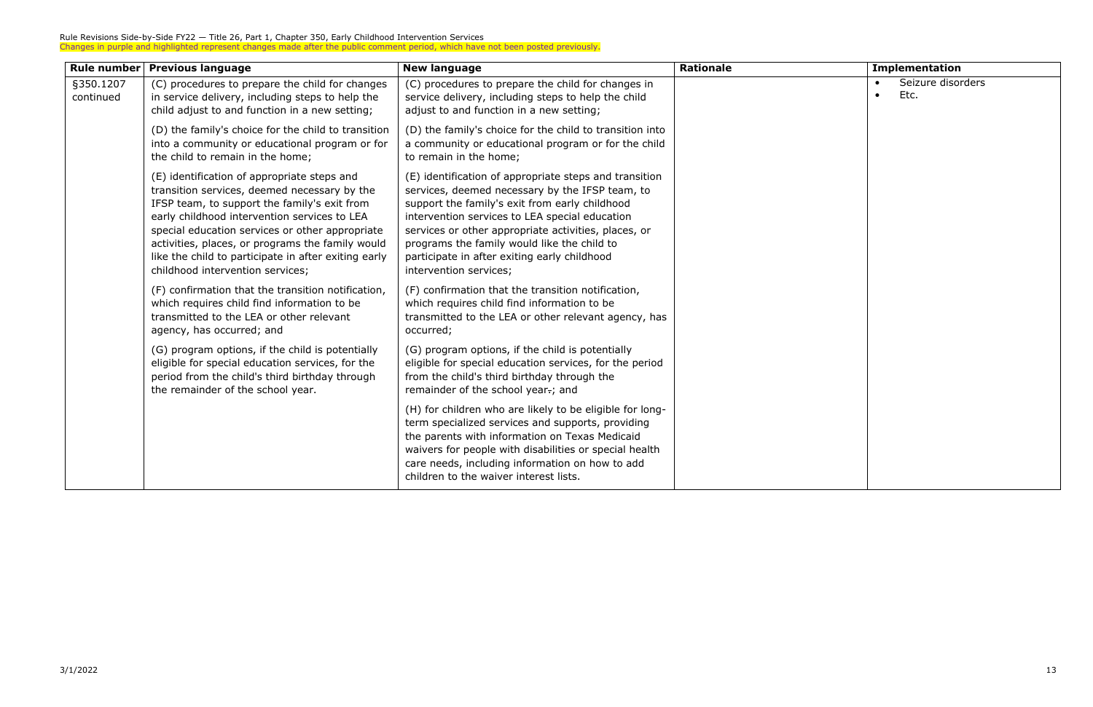| Rule number            | <b>Previous language</b>                                                                                                                                                                                                                                                                                                                                                                       | <b>New language</b>                                                                                                                                                                                                                                                                                                                                                                            | <b>Rationale</b> | <b>Implementation</b> |
|------------------------|------------------------------------------------------------------------------------------------------------------------------------------------------------------------------------------------------------------------------------------------------------------------------------------------------------------------------------------------------------------------------------------------|------------------------------------------------------------------------------------------------------------------------------------------------------------------------------------------------------------------------------------------------------------------------------------------------------------------------------------------------------------------------------------------------|------------------|-----------------------|
| §350.1207<br>continued | (C) procedures to prepare the child for changes<br>in service delivery, including steps to help the<br>child adjust to and function in a new setting;                                                                                                                                                                                                                                          | (C) procedures to prepare the child for changes in<br>service delivery, including steps to help the child<br>adjust to and function in a new setting;                                                                                                                                                                                                                                          |                  | Seizure diso<br>Etc.  |
|                        | (D) the family's choice for the child to transition<br>into a community or educational program or for<br>the child to remain in the home;                                                                                                                                                                                                                                                      | (D) the family's choice for the child to transition into<br>a community or educational program or for the child<br>to remain in the home;                                                                                                                                                                                                                                                      |                  |                       |
|                        | (E) identification of appropriate steps and<br>transition services, deemed necessary by the<br>IFSP team, to support the family's exit from<br>early childhood intervention services to LEA<br>special education services or other appropriate<br>activities, places, or programs the family would<br>like the child to participate in after exiting early<br>childhood intervention services; | (E) identification of appropriate steps and transition<br>services, deemed necessary by the IFSP team, to<br>support the family's exit from early childhood<br>intervention services to LEA special education<br>services or other appropriate activities, places, or<br>programs the family would like the child to<br>participate in after exiting early childhood<br>intervention services; |                  |                       |
|                        | (F) confirmation that the transition notification,<br>which requires child find information to be<br>transmitted to the LEA or other relevant<br>agency, has occurred; and                                                                                                                                                                                                                     | (F) confirmation that the transition notification,<br>which requires child find information to be<br>transmitted to the LEA or other relevant agency, has<br>occurred;                                                                                                                                                                                                                         |                  |                       |
|                        | (G) program options, if the child is potentially<br>eligible for special education services, for the<br>period from the child's third birthday through<br>the remainder of the school year.                                                                                                                                                                                                    | (G) program options, if the child is potentially<br>eligible for special education services, for the period<br>from the child's third birthday through the<br>remainder of the school year-; and                                                                                                                                                                                               |                  |                       |
|                        |                                                                                                                                                                                                                                                                                                                                                                                                | (H) for children who are likely to be eligible for long-<br>term specialized services and supports, providing<br>the parents with information on Texas Medicaid<br>waivers for people with disabilities or special health<br>care needs, including information on how to add<br>children to the waiver interest lists.                                                                         |                  |                       |

| <b>Implementation</b>                               |  |  |
|-----------------------------------------------------|--|--|
| Seizure disorders<br>$\bullet$<br>Etc.<br>$\bullet$ |  |  |
|                                                     |  |  |
|                                                     |  |  |
|                                                     |  |  |
|                                                     |  |  |
|                                                     |  |  |
|                                                     |  |  |
|                                                     |  |  |
|                                                     |  |  |
|                                                     |  |  |
|                                                     |  |  |
|                                                     |  |  |